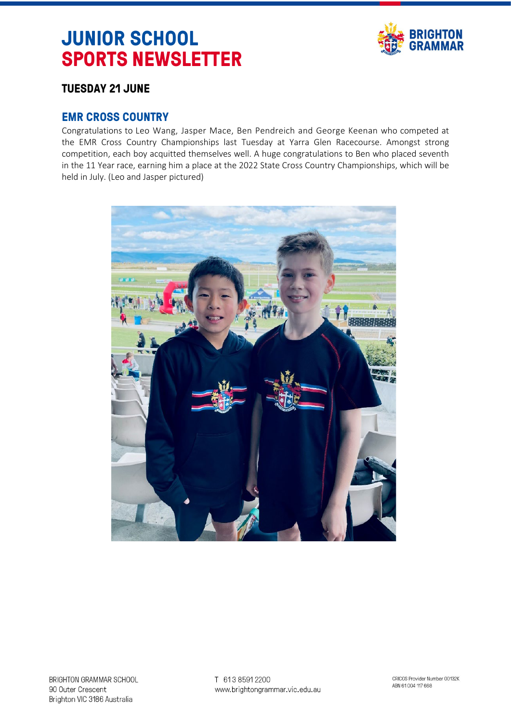# **JUNIOR SCHOOL SPORTS NEWSLETTER**



# **TUESDAY 21 JUNE**

## **EMR CROSS COUNTRY**

Congratulations to Leo Wang, Jasper Mace, Ben Pendreich and George Keenan who competed at the EMR Cross Country Championships last Tuesday at Yarra Glen Racecourse. Amongst strong competition, each boy acquitted themselves well. A huge congratulations to Ben who placed seventh in the 11 Year race, earning him a place at the 2022 State Cross Country Championships, which will be held in July. (Leo and Jasper pictured)

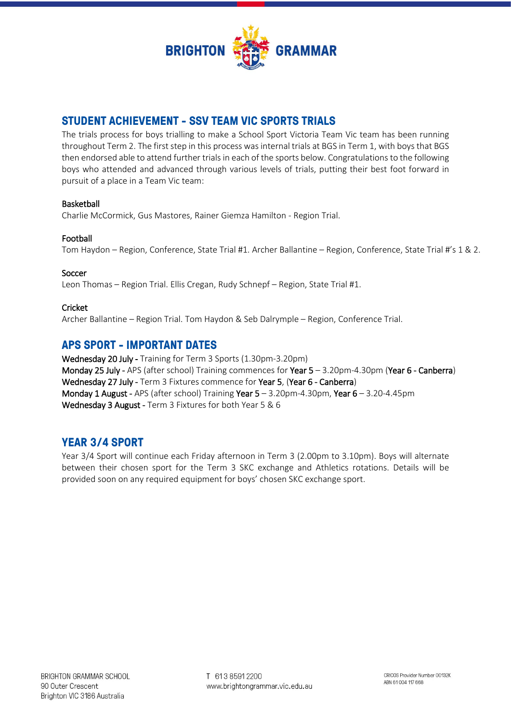

## **STUDENT ACHIEVEMENT - SSV TEAM VIC SPORTS TRIALS**

The trials process for boys trialling to make a School Sport Victoria Team Vic team has been running throughout Term 2. The first step in this process was internal trials at BGS in Term 1, with boys that BGS then endorsed able to attend further trials in each of the sports below. Congratulations to the following boys who attended and advanced through various levels of trials, putting their best foot forward in pursuit of a place in a Team Vic team:

## Basketball

Charlie McCormick, Gus Mastores, Rainer Giemza Hamilton - Region Trial.

## Football

Tom Haydon – Region, Conference, State Trial #1. Archer Ballantine – Region, Conference, State Trial #'s 1 & 2.

## Soccer

Leon Thomas – Region Trial. Ellis Cregan, Rudy Schnepf – Region, State Trial #1.

## Cricket

Archer Ballantine – Region Trial. Tom Haydon & Seb Dalrymple – Region, Conference Trial.

## **APS SPORT - IMPORTANT DATES**

Wednesday 20 July - Training for Term 3 Sports (1.30pm-3.20pm) Monday 25 July - APS (after school) Training commences for Year 5 – 3.20pm-4.30pm (Year 6 - Canberra) Wednesday 27 July - Term 3 Fixtures commence for Year 5, (Year 6 - Canberra) Monday 1 August - APS (after school) Training Year 5 – 3.20pm-4.30pm, Year 6 – 3.20-4.45pm Wednesday 3 August - Term 3 Fixtures for both Year 5 & 6

## **YEAR 3/4 SPORT**

Year 3/4 Sport will continue each Friday afternoon in Term 3 (2.00pm to 3.10pm). Boys will alternate between their chosen sport for the Term 3 SKC exchange and Athletics rotations. Details will be provided soon on any required equipment for boys' chosen SKC exchange sport.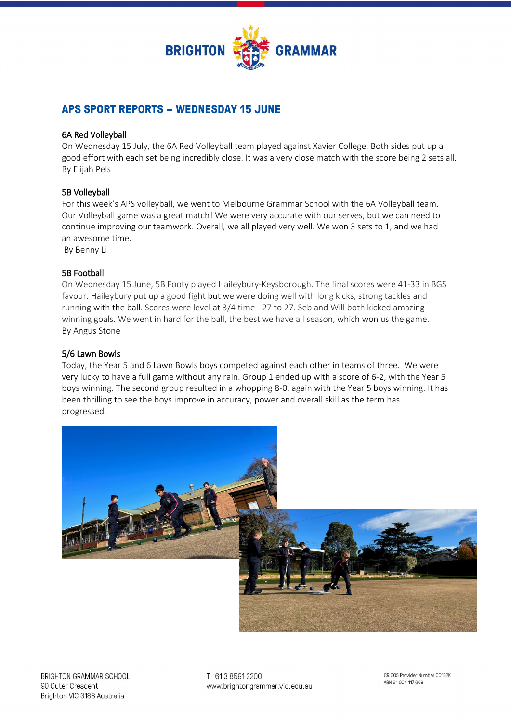

# **APS SPORT REPORTS – WEDNESDAY 15 JUNE**

## 6A Red Volleyball

On Wednesday 15 July, the 6A Red Volleyball team played against Xavier College. Both sides put up a good effort with each set being incredibly close. It was a very close match with the score being 2 sets all. By Elijah Pels

## 5B Volleyball

For this week's APS volleyball, we went to Melbourne Grammar School with the 6A Volleyball team. Our Volleyball game was a great match! We were very accurate with our serves, but we can need to continue improving our teamwork. Overall, we all played very well. We won 3 sets to 1, and we had an awesome time.

By Benny Li

#### 5B Football

On Wednesday 15 June, 5B Footy played Haileybury-Keysborough. The final scores were 41-33 in BGS favour. Haileybury put up a good fight but we were doing well with long kicks, strong tackles and running with the ball. Scores were level at 3/4 time - 27 to 27. Seb and Will both kicked amazing winning goals. We went in hard for the ball, the best we have all season, which won us the game. By Angus Stone

## 5/6 Lawn Bowls

Today, the Year 5 and 6 Lawn Bowls boys competed against each other in teams of three. We were very lucky to have a full game without any rain. Group 1 ended up with a score of 6-2, with the Year 5 boys winning. The second group resulted in a whopping 8-0, again with the Year 5 boys winning. It has been thrilling to see the boys improve in accuracy, power and overall skill as the term has progressed.



T 613 8591 2200 www.brightongrammar.vic.edu.au

CRICOS Provider Number 00132K ABN 61004 117 668